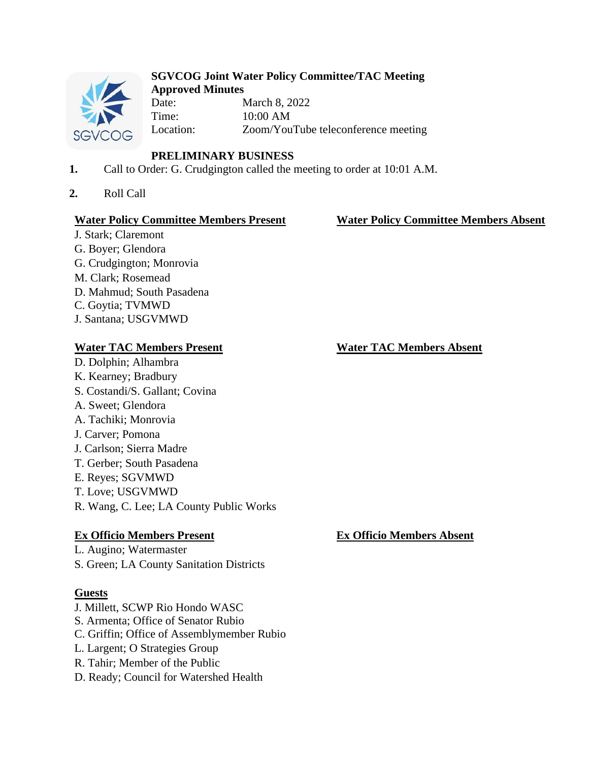

### **SGVCOG Joint Water Policy Committee/TAC Meeting Approved Minutes**

Date: March 8, 2022 Time: 10:00 AM Location: Zoom/YouTube teleconference meeting

# **PRELIMINARY BUSINESS**

- **1.** Call to Order: G. Crudgington called the meeting to order at 10:01 A.M.
- **2.** Roll Call

## **Water Policy Committee Members Present Water Policy Committee Members Absent**

J. Stark; Claremont G. Boyer; Glendora G. Crudgington; Monrovia M. Clark; Rosemead D. Mahmud; South Pasadena C. Goytia; TVMWD J. Santana; USGVMWD

- D. Dolphin; Alhambra K. Kearney; Bradbury S. Costandi/S. Gallant; Covina A. Sweet; Glendora A. Tachiki; Monrovia J. Carver; Pomona J. Carlson; Sierra Madre T. Gerber; South Pasadena E. Reyes; SGVMWD T. Love; USGVMWD
- R. Wang, C. Lee; LA County Public Works

# **Ex Officio Members Present Ex Officio Members Absent**

L. Augino; Watermaster S. Green; LA County Sanitation Districts

# **Guests**

- J. Millett, SCWP Rio Hondo WASC S. Armenta; Office of Senator Rubio C. Griffin; Office of Assemblymember Rubio L. Largent; O Strategies Group R. Tahir; Member of the Public
- D. Ready; Council for Watershed Health

**Water TAC Members Present Water TAC Members Absent**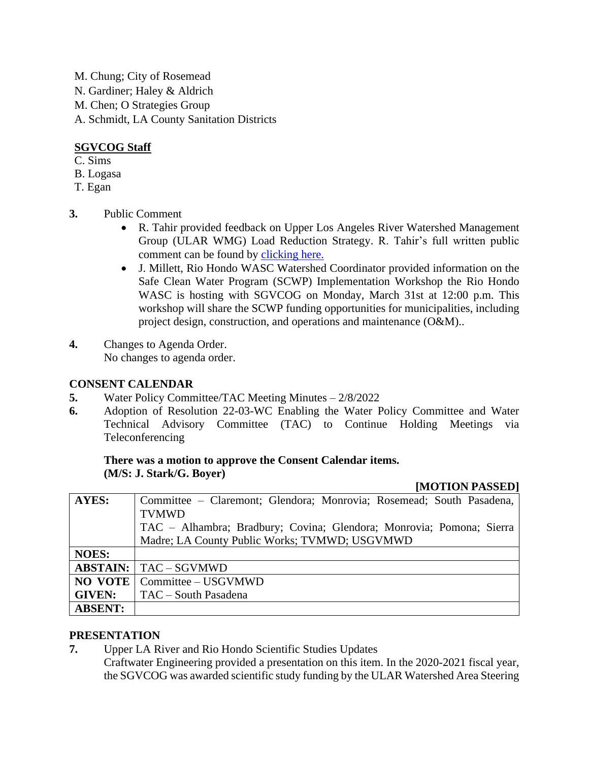M. Chung; City of Rosemead N. Gardiner; Haley & Aldrich M. Chen; O Strategies Group A. Schmidt, LA County Sanitation Districts

# **SGVCOG Staff**

- C. Sims
- B. Logasa
- T. Egan
- **3.** Public Comment
	- R. Tahir provided feedback on Upper Los Angeles River Watershed Management Group (ULAR WMG) Load Reduction Strategy. R. Tahir's full written public comment can be found by [clicking here.](https://drive.google.com/file/d/1kATJBrv_ci6HsW9gDKxyncNArWM9LqNS/view?usp=sharing)
	- J. Millett, Rio Hondo WASC Watershed Coordinator provided information on the Safe Clean Water Program (SCWP) Implementation Workshop the Rio Hondo WASC is hosting with SGVCOG on Monday, March 31st at 12:00 p.m. This workshop will share the SCWP funding opportunities for municipalities, including project design, construction, and operations and maintenance (O&M)..
- **4.** Changes to Agenda Order. No changes to agenda order.

## **CONSENT CALENDAR**

- **5.** Water Policy Committee/TAC Meeting Minutes 2/8/2022
- **6.** Adoption of Resolution 22-03-WC Enabling the Water Policy Committee and Water Technical Advisory Committee (TAC) to Continue Holding Meetings via Teleconferencing

### **There was a motion to approve the Consent Calendar items. (M/S: J. Stark/G. Boyer)**

### **[MOTION PASSED]**

| <b>AYES:</b>   | Committee – Claremont; Glendora; Monrovia; Rosemead; South Pasadena, |
|----------------|----------------------------------------------------------------------|
|                | <b>TVMWD</b>                                                         |
|                | TAC – Alhambra; Bradbury; Covina; Glendora; Monrovia; Pomona; Sierra |
|                | Madre; LA County Public Works; TVMWD; USGVMWD                        |
| <b>NOES:</b>   |                                                                      |
|                | <b>ABSTAIN:</b>   TAC – SGVMWD                                       |
|                | <b>NO VOTE</b>   Committee – USGVMWD                                 |
| <b>GIVEN:</b>  | TAC – South Pasadena                                                 |
| <b>ABSENT:</b> |                                                                      |

## **PRESENTATION**

**7.** Upper LA River and Rio Hondo Scientific Studies Updates

Craftwater Engineering provided a presentation on this item. In the 2020-2021 fiscal year, the SGVCOG was awarded scientific study funding by the ULAR Watershed Area Steering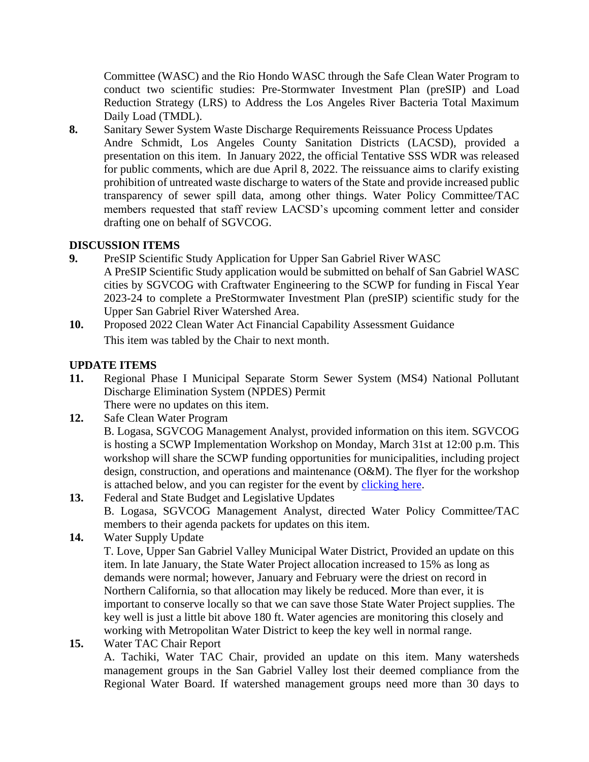Committee (WASC) and the Rio Hondo WASC through the Safe Clean Water Program to conduct two scientific studies: Pre-Stormwater Investment Plan (preSIP) and Load Reduction Strategy (LRS) to Address the Los Angeles River Bacteria Total Maximum Daily Load (TMDL).

**8.** Sanitary Sewer System Waste Discharge Requirements Reissuance Process Updates Andre Schmidt, Los Angeles County Sanitation Districts (LACSD), provided a presentation on this item. In January 2022, the official Tentative SSS WDR was released for public comments, which are due April 8, 2022. The reissuance aims to clarify existing prohibition of untreated waste discharge to waters of the State and provide increased public transparency of sewer spill data, among other things. Water Policy Committee/TAC members requested that staff review LACSD's upcoming comment letter and consider drafting one on behalf of SGVCOG.

## **DISCUSSION ITEMS**

- **9.** PreSIP Scientific Study Application for Upper San Gabriel River WASC A PreSIP Scientific Study application would be submitted on behalf of San Gabriel WASC cities by SGVCOG with Craftwater Engineering to the SCWP for funding in Fiscal Year 2023-24 to complete a PreStormwater Investment Plan (preSIP) scientific study for the Upper San Gabriel River Watershed Area.
- **10.** Proposed 2022 Clean Water Act Financial Capability Assessment Guidance This item was tabled by the Chair to next month.

# **UPDATE ITEMS**

- **11.** Regional Phase I Municipal Separate Storm Sewer System (MS4) National Pollutant Discharge Elimination System (NPDES) Permit There were no updates on this item.
- **12.** Safe Clean Water Program

B. Logasa, SGVCOG Management Analyst, provided information on this item. SGVCOG is hosting a SCWP Implementation Workshop on Monday, March 31st at 12:00 p.m. This workshop will share the SCWP funding opportunities for municipalities, including project design, construction, and operations and maintenance (O&M). The flyer for the workshop is attached below, and you can register for the event by [clicking here.](https://docs.google.com/forms/d/e/1FAIpQLSd_2Pto944YGZPBq9UjZqKe-Z0sSuPMCfeqPEzrJNk4egdKTw/viewform)

- **13.** Federal and State Budget and Legislative Updates B. Logasa, SGVCOG Management Analyst, directed Water Policy Committee/TAC members to their agenda packets for updates on this item.
- **14.** Water Supply Update

T. Love, Upper San Gabriel Valley Municipal Water District, Provided an update on this item. In late January, the State Water Project allocation increased to 15% as long as demands were normal; however, January and February were the driest on record in Northern California, so that allocation may likely be reduced. More than ever, it is important to conserve locally so that we can save those State Water Project supplies. The key well is just a little bit above 180 ft. Water agencies are monitoring this closely and working with Metropolitan Water District to keep the key well in normal range.

**15.** Water TAC Chair Report

A. Tachiki, Water TAC Chair, provided an update on this item. Many watersheds management groups in the San Gabriel Valley lost their deemed compliance from the Regional Water Board. If watershed management groups need more than 30 days to